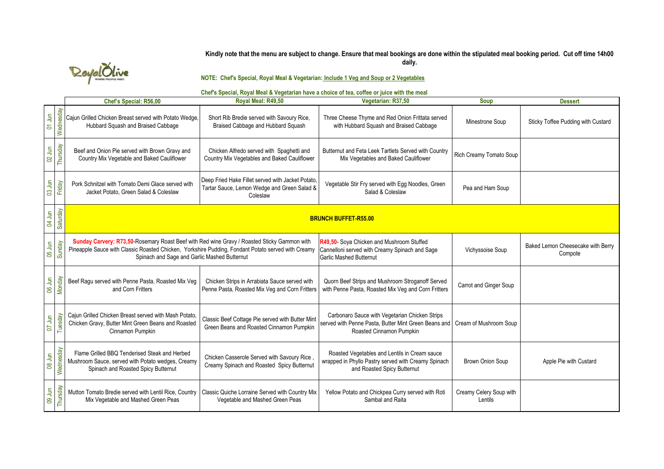### **Kindly note that the menu are subject to change. Ensure that meal bookings are done within the stipulated meal booking period. Cut off time 14h00 daily.**



**NOTE: Chef's Special, Royal Meal & Vegetarian: Include 1 Veg and Soup or 2 Vegetables**

# **Chef's Special, Royal Meal & Vegetarian have a choice of tea, coffee or juice with the meal**

|                                           |             | Chef's Special: R56,00                                                                                                                                                                                                                            | Royal Meal: R49,50                                                                                           | Vegetarian: R37,50                                                                                                                                          | <b>Soup</b>                        | <b>Dessert</b>                               |
|-------------------------------------------|-------------|---------------------------------------------------------------------------------------------------------------------------------------------------------------------------------------------------------------------------------------------------|--------------------------------------------------------------------------------------------------------------|-------------------------------------------------------------------------------------------------------------------------------------------------------------|------------------------------------|----------------------------------------------|
| 01 Jun                                    | Wednesday   | Cajun Grilled Chicken Breast served with Potato Wedge,<br>Hubbard Squash and Braised Cabbage                                                                                                                                                      | Short Rib Bredie served with Savoury Rice,<br>Braised Cabbage and Hubbard Squash                             | Three Cheese Thyme and Red Onion Frittata served<br>with Hubbard Squash and Braised Cabbage                                                                 | Minestrone Soup                    | Sticky Toffee Pudding with Custard           |
| 02 Jun                                    | Thursday    | Beef and Onion Pie served with Brown Gravy and<br>Country Mix Vegetable and Baked Cauliflower                                                                                                                                                     | Chicken Alfredo served with Spaghetti and<br>Country Mix Vegetables and Baked Cauliflower                    | Butternut and Feta Leek Tartlets Served with Country<br>Mix Vegetables and Baked Cauliflower                                                                | Rich Creamy Tomato Soup            |                                              |
| 03 Jun                                    | Friday      | Pork Schnitzel with Tomato Demi Glace served with<br>Jacket Potato, Green Salad & Coleslaw                                                                                                                                                        | Deep Fried Hake Fillet served with Jacket Potato,<br>Tartar Sauce, Lemon Wedge and Green Salad &<br>Coleslaw | Vegetable Stir Fry served with Egg Noodles, Green<br>Salad & Coleslaw                                                                                       | Pea and Ham Soup                   |                                              |
| 04 Jun                                    | Saturday    |                                                                                                                                                                                                                                                   |                                                                                                              | <b>BRUNCH BUFFET-R55.00</b>                                                                                                                                 |                                    |                                              |
| 05 Jun                                    | Sunday      | Sunday Carvery: R73,50-Rosemary Roast Beef with Red wine Gravy / Roasted Sticky Gammon with<br>Pineapple Sauce with Classic Roasted Chicken, Yorkshire Pudding, Fondant Potato served with Creamy<br>Spinach and Sage and Garlic Mashed Butternut |                                                                                                              | R49,50- Sova Chicken and Mushroom Stuffed<br>Cannelloni served with Creamy Spinach and Sage<br><b>Garlic Mashed Butternut</b>                               | Vichyssoise Soup                   | Baked Lemon Cheesecake with Berry<br>Compote |
| 06 Jun                                    | Monday      | Beef Ragu served with Penne Pasta, Roasted Mix Veg<br>and Corn Fritters                                                                                                                                                                           | Chicken Strips in Arrabiata Sauce served with<br>Penne Pasta, Roasted Mix Veg and Corn Fritters              | Quorn Beef Strips and Mushroom Stroganoff Served<br>with Penne Pasta, Roasted Mix Veg and Corn Fritters                                                     | Carrot and Ginger Soup             |                                              |
| 07 Jun                                    | sday<br>Tue | Cajun Grilled Chicken Breast served with Mash Potato,<br>Chicken Gravy, Butter Mint Green Beans and Roasted<br>Cinnamon Pumpkin                                                                                                                   | Classic Beef Cottage Pie served with Butter Mint<br>Green Beans and Roasted Cinnamon Pumpkin                 | Carbonaro Sauce with Vegetarian Chicken Strips<br>served with Penne Pasta, Butter Mint Green Beans and   Cream of Mushroom Soup<br>Roasted Cinnamon Pumpkin |                                    |                                              |
| $\overline{5}$<br>$\overline{\mathbf{8}}$ | Wednesday   | Flame Grilled BBQ Tenderised Steak and Herbed<br>Mushroom Sauce, served with Potato wedges, Creamy<br>Spinach and Roasted Spicy Butternut                                                                                                         | Chicken Casserole Served with Savoury Rice<br>Creamy Spinach and Roasted Spicy Butternut                     | Roasted Vegetables and Lentils in Cream sauce<br>wrapped in Phyllo Pastry served with Creamy Spinach<br>and Roasted Spicy Butternut                         | Brown Onion Soup                   | Apple Pie with Custard                       |
| 09 Jun                                    | Thursday    | Mutton Tomato Bredie served with Lentil Rice, Country<br>Mix Vegetable and Mashed Green Peas                                                                                                                                                      | Classic Quiche Lorraine Served with Country Mix<br>Vegetable and Mashed Green Peas                           | Yellow Potato and Chickpea Curry served with Roti<br>Sambal and Raita                                                                                       | Creamy Celery Soup with<br>Lentils |                                              |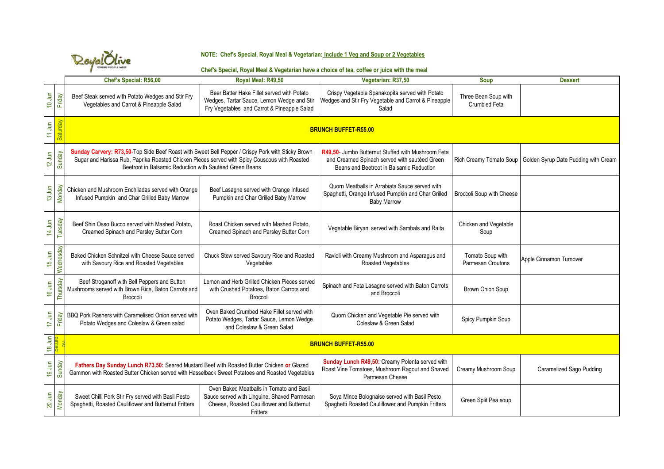

#### **NOTE: Chef's Special, Royal Meal & Vegetarian: Include 1 Veg and Soup or 2 Vegetables**

#### **Chef's Special, Royal Meal & Vegetarian have a choice of tea, coffee or juice with the meal**

|                    |               | Chef's Special: R56,00                                                                                                                                                                                                                                        | Royal Meal: R49,50                                                                                                                               | Vegetarian: R37,50                                                                                                                              | <b>Soup</b>                           | <b>Dessert</b>                       |
|--------------------|---------------|---------------------------------------------------------------------------------------------------------------------------------------------------------------------------------------------------------------------------------------------------------------|--------------------------------------------------------------------------------------------------------------------------------------------------|-------------------------------------------------------------------------------------------------------------------------------------------------|---------------------------------------|--------------------------------------|
| 10 Jun             | Friday        | Beef Steak served with Potato Wedges and Stir Fry<br>Vegetables and Carrot & Pineapple Salad                                                                                                                                                                  | Beer Batter Hake Fillet served with Potato<br>Wedges, Tartar Sauce, Lemon Wedge and Stir<br>Fry Vegetables and Carrot & Pineapple Salad          | Crispy Vegetable Spanakopita served with Potato<br>Wedges and Stir Fry Vegetable and Carrot & Pineapple<br>Salad                                | Three Bean Soup with<br>Crumbled Feta |                                      |
| $11$ Jun           | Saturday      | <b>BRUNCH BUFFET-R55.00</b>                                                                                                                                                                                                                                   |                                                                                                                                                  |                                                                                                                                                 |                                       |                                      |
| $12$ Jun           | Sunday        | Sunday Carvery: R73,50-Top Side Beef Roast with Sweet Bell Pepper / Crispy Pork with Sticky Brown<br>Sugar and Harissa Rub, Paprika Roasted Chicken Pieces served with Spicy Couscous with Roasted<br>Beetroot in Balsamic Reduction with Sautéed Green Beans |                                                                                                                                                  | R49.50- Jumbo Butternut Stuffed with Mushroom Feta<br>and Creamed Spinach served with sautéed Green<br>Beans and Beetroot in Balsamic Reduction | Rich Creamy Tomato Soup               | Golden Syrup Date Pudding with Cream |
| $13 \, \text{Jun}$ | Monday        | Chicken and Mushroom Enchiladas served with Orange<br>Infused Pumpkin and Char Grilled Baby Marrow                                                                                                                                                            | Beef Lasagne served with Orange Infused<br>Pumpkin and Char Grilled Baby Marrow                                                                  | Quorn Meatballs in Arrabiata Sauce served with<br>Spaghetti, Orange Infused Pumpkin and Char Grilled<br><b>Baby Marrow</b>                      | Broccoli Soup with Cheese             |                                      |
| 14 Jun             | Tuesday       | Beef Shin Osso Bucco served with Mashed Potato.<br>Creamed Spinach and Parsley Butter Corn                                                                                                                                                                    | Roast Chicken served with Mashed Potato.<br>Creamed Spinach and Parsley Butter Corn                                                              | Vegetable Biryani served with Sambals and Raita                                                                                                 | Chicken and Vegetable<br>Soup         |                                      |
| $15 \, \text{Jun}$ | Wednesday     | Baked Chicken Schnitzel with Cheese Sauce served<br>with Savoury Rice and Roasted Vegetables                                                                                                                                                                  | Chuck Stew served Savoury Rice and Roasted<br>Vegetables                                                                                         | Ravioli with Creamy Mushroom and Asparagus and<br>Roasted Vegetables                                                                            | Tomato Soup with<br>Parmesan Croutons | Apple Cinnamon Turnover              |
| 16 Jun             | Thursday      | Beef Stroganoff with Bell Peppers and Button<br>Mushrooms served with Brown Rice, Baton Carrots and<br>Broccoli                                                                                                                                               | Lemon and Herb Grilled Chicken Pieces served<br>with Crushed Potatoes, Baton Carrots and<br>Broccoli                                             | Spinach and Feta Lasagne served with Baton Carrots<br>and Broccoli                                                                              | <b>Brown Onion Soup</b>               |                                      |
| 17 Jun             | Friday        | BBQ Pork Rashers with Caramelised Onion served with<br>Potato Wedges and Coleslaw & Green salad                                                                                                                                                               | Oven Baked Crumbed Hake Fillet served with<br>Potato Wedges, Tartar Sauce, Lemon Wedge<br>and Coleslaw & Green Salad                             | Quorn Chicken and Vegetable Pie served with<br>Coleslaw & Green Salad                                                                           | Spicy Pumpkin Soup                    |                                      |
|                    | 18 Jun        | <b>BRUNCH BUFFET-R55.00</b>                                                                                                                                                                                                                                   |                                                                                                                                                  |                                                                                                                                                 |                                       |                                      |
| 19 Jun             | Sunday        | Fathers Day Sunday Lunch R73,50: Seared Mustard Beef with Roasted Butter Chicken or Glazed<br>Gammon with Roasted Butter Chicken served with Hasselback Sweet Potatoes and Roasted Vegetables                                                                 |                                                                                                                                                  | Sunday Lunch R49,50: Creamy Polenta served with<br>Roast Vine Tomatoes, Mushroom Ragout and Shaved<br>Parmesan Cheese                           | Creamy Mushroom Soup                  | Caramelized Sago Pudding             |
| $20 \text{ Jun}$   | <b>Monday</b> | Sweet Chilli Pork Stir Fry served with Basil Pesto<br>Spaghetti, Roasted Cauliflower and Butternut Fritters                                                                                                                                                   | Oven Baked Meatballs in Tomato and Basil<br>Sauce served with Linguine, Shaved Parmesan<br>Cheese, Roasted Cauliflower and Butternut<br>Fritters | Soya Mince Bolognaise served with Basil Pesto<br>Spaghetti Roasted Cauliflower and Pumpkin Fritters                                             | Green Split Pea soup                  |                                      |